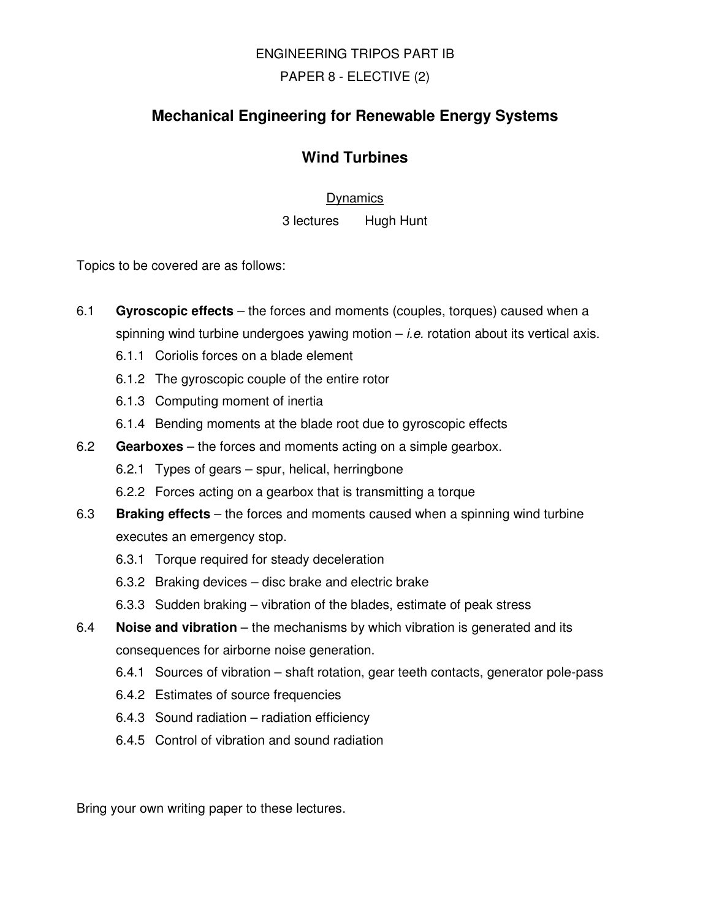# ENGINEERING TRIPOS PART IB

## PAPER 8 - ELECTIVE (2)

# **Mechanical Engineering for Renewable Energy Systems**

# **Wind Turbines**

#### **Dynamics**

3 lectures Hugh Hunt

Topics to be covered are as follows:

- 6.1 **Gyroscopic effects** the forces and moments (couples, torques) caused when a spinning wind turbine undergoes yawing motion  $-i.e.$  rotation about its vertical axis.
	- 6.1.1 Coriolis forces on a blade element
	- 6.1.2 The gyroscopic couple of the entire rotor
	- 6.1.3 Computing moment of inertia
	- 6.1.4 Bending moments at the blade root due to gyroscopic effects
- 6.2 **Gearboxes** the forces and moments acting on a simple gearbox.
	- 6.2.1 Types of gears spur, helical, herringbone
	- 6.2.2 Forces acting on a gearbox that is transmitting a torque
- 6.3 **Braking effects** the forces and moments caused when a spinning wind turbine executes an emergency stop.
	- 6.3.1 Torque required for steady deceleration
	- 6.3.2 Braking devices disc brake and electric brake
	- 6.3.3 Sudden braking vibration of the blades, estimate of peak stress
- 6.4 **Noise and vibration** the mechanisms by which vibration is generated and its consequences for airborne noise generation.
	- 6.4.1 Sources of vibration shaft rotation, gear teeth contacts, generator pole-pass
	- 6.4.2 Estimates of source frequencies
	- 6.4.3 Sound radiation radiation efficiency
	- 6.4.5 Control of vibration and sound radiation

Bring your own writing paper to these lectures.